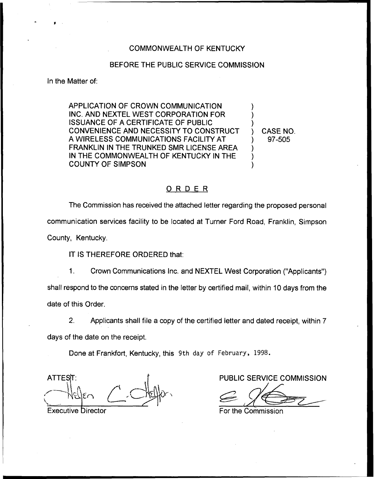## COMMONWEALTH OF KENTUCKY

## BEFORE THE PUBLIC SERVICE COMMISSION

In the Matter of:

APPLICATION OF CROWN COMMUNICATION INC. AND NEXTEL WEST CORPORATION FOR ISSUANCE OF A CERTIFICATE OF PUBLIC CONVENIENCE AND NECESSITY TO CONSTRUCT A WIRELESS COMMUNICATIONS FACILITY AT FRANKLIN IN THE TRUNKED SMR LICENSE AREA IN THE COMMONWEALTH OF KENTUCKY IN THE COUNTY OF SIMPSON

) CASE NO. ) 97-505

) ) )

) ) )

## ORDER

The Commission has received the attached letter regarding the proposed personal communication services facility to be located at Turner Ford Road, Franklin, Simpson County, Kentucky.

IT IS THEREFORE ORDERED that:

1. Crown Communications Inc. and NEXTEL West Corporation ("Applicants" ) shall respond to the concerns stated in the letter by certified mail, within 10 days from the date of this Order.

2. Applicants shall file a copy of the certified letter and dated receipt, within 7 days of the date on the receipt.

Done at Frankfort, Kentucky, this 9th day of February, 1998.

ATTEST: f PUBLIC SERVICE COMMISSION

**Executive Director** 

/

For the Commission